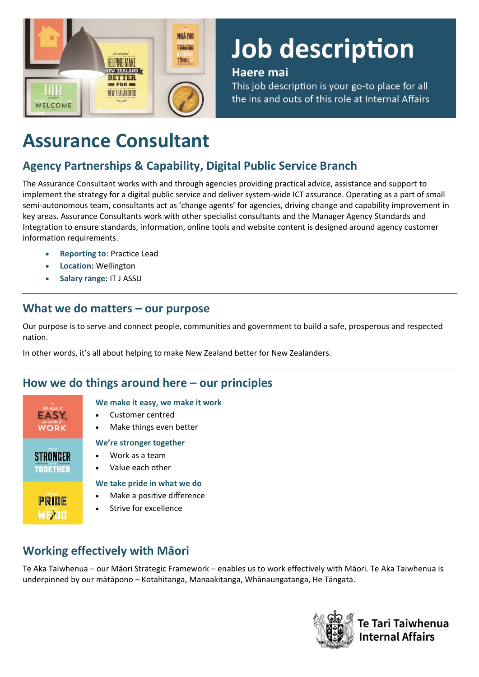

# Job description

### Haere mai

This job description is your go-to place for all the ins and outs of this role at Internal Affairs

# **Assurance Consultant**

# **Agency Partnerships & Capability, Digital Public Service Branch**

The Assurance Consultant works with and through agencies providing practical advice, assistance and support to implement the strategy for a digital public service and deliver system-wide ICT assurance. Operating as a part of small semi-autonomous team, consultants act as 'change agents' for agencies, driving change and capability improvement in key areas. Assurance Consultants work with other specialist consultants and the Manager Agency Standards and Integration to ensure standards, information, online tools and website content is designed around agency customer information requirements.

- **Reporting to**: Practice Lead
- **Location:** Wellington
- **Salary range**: IT J ASSU

## **What we do matters – our purpose**

Our purpose is to serve and connect people, communities and government to build a safe, prosperous and respected nation.

In other words, it's all about helping to make New Zealand better for New Zealanders.

# **How we do things around here – our principles**

| We make it          |    |
|---------------------|----|
| EASY,<br>we make it |    |
| <b>WORK</b>         |    |
| Were                | We |
| <b>STRONGER</b>     |    |
| <b>TOGETHER</b>     |    |
|                     | W  |
| PRIDE               |    |
|                     |    |
|                     |    |

#### **We make it easy, we make it work**

- Customer centred
- Make things even better

#### **We're stronger together**

- Work as a team
- Value each other

#### **We take pride in what we do**

- Make a positive difference
- Strive for excellence

# **Working effectively with Māori**

Te Aka Taiwhenua – our Māori Strategic Framework – enables us to work effectively with Māori. Te Aka Taiwhenua is underpinned by our mātāpono – Kotahitanga, Manaakitanga, Whānaungatanga, He Tāngata.

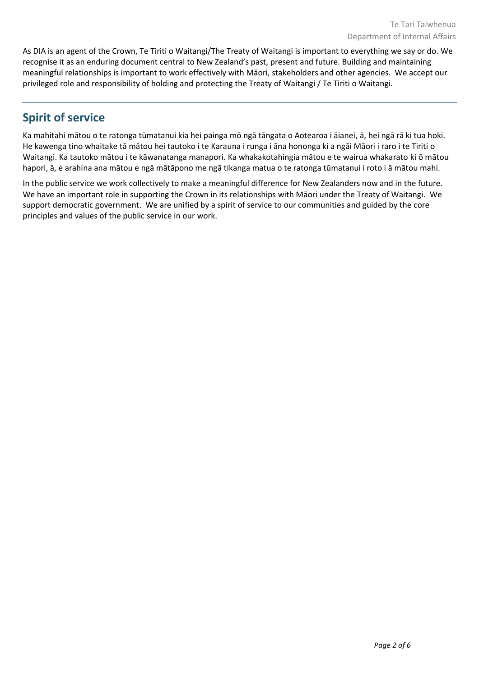As DIA is an agent of the Crown, Te Tiriti o Waitangi/The Treaty of Waitangi is important to everything we say or do. We recognise it as an enduring document central to New Zealand's past, present and future. Building and maintaining meaningful relationships is important to work effectively with Māori, stakeholders and other agencies. We accept our privileged role and responsibility of holding and protecting the Treaty of Waitangi / Te Tiriti o Waitangi.

# **Spirit of service**

Ka mahitahi mātou o te ratonga tūmatanui kia hei painga mō ngā tāngata o Aotearoa i āianei, ā, hei ngā rā ki tua hoki. He kawenga tino whaitake tā mātou hei tautoko i te Karauna i runga i āna hononga ki a ngāi Māori i raro i te Tiriti o Waitangi. Ka tautoko mātou i te kāwanatanga manapori. Ka whakakotahingia mātou e te wairua whakarato ki ō mātou hapori, ā, e arahina ana mātou e ngā mātāpono me ngā tikanga matua o te ratonga tūmatanui i roto i ā mātou mahi.

In the public service we work collectively to make a meaningful difference for New Zealanders now and in the future. We have an important role in supporting the Crown in its relationships with Māori under the Treaty of Waitangi.  We support democratic government. We are unified by a spirit of service to our communities and guided by the core principles and values of the public service in our work.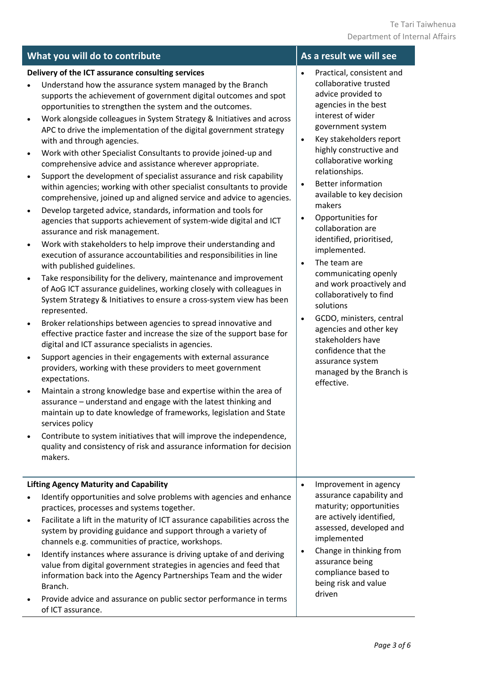|                                                                                                                   | What you will do to contribute                                                                                                                                                                                                                                                                                                                                                                                                                                                                                                                                                                                                                                                                                                                                                                                                                                                                                                                                                                                                                                                                                                                                                                                                                                                                                                                                                                                                                                                                                                                                                                                                                                                                                                                                                                                                                                                                                                                                                                                                                                                                                          | As a result we will see                                                                                                                                                                                                                                                                                                                                                                                                                                                                                                                                                                                                                                                                                                                                         |
|-------------------------------------------------------------------------------------------------------------------|-------------------------------------------------------------------------------------------------------------------------------------------------------------------------------------------------------------------------------------------------------------------------------------------------------------------------------------------------------------------------------------------------------------------------------------------------------------------------------------------------------------------------------------------------------------------------------------------------------------------------------------------------------------------------------------------------------------------------------------------------------------------------------------------------------------------------------------------------------------------------------------------------------------------------------------------------------------------------------------------------------------------------------------------------------------------------------------------------------------------------------------------------------------------------------------------------------------------------------------------------------------------------------------------------------------------------------------------------------------------------------------------------------------------------------------------------------------------------------------------------------------------------------------------------------------------------------------------------------------------------------------------------------------------------------------------------------------------------------------------------------------------------------------------------------------------------------------------------------------------------------------------------------------------------------------------------------------------------------------------------------------------------------------------------------------------------------------------------------------------------|-----------------------------------------------------------------------------------------------------------------------------------------------------------------------------------------------------------------------------------------------------------------------------------------------------------------------------------------------------------------------------------------------------------------------------------------------------------------------------------------------------------------------------------------------------------------------------------------------------------------------------------------------------------------------------------------------------------------------------------------------------------------|
| $\bullet$<br>$\bullet$<br>$\bullet$<br>$\bullet$<br>$\bullet$<br>$\bullet$<br>$\bullet$<br>$\bullet$<br>$\bullet$ | Delivery of the ICT assurance consulting services<br>Understand how the assurance system managed by the Branch<br>supports the achievement of government digital outcomes and spot<br>opportunities to strengthen the system and the outcomes.<br>Work alongside colleagues in System Strategy & Initiatives and across<br>APC to drive the implementation of the digital government strategy<br>with and through agencies.<br>Work with other Specialist Consultants to provide joined-up and<br>comprehensive advice and assistance wherever appropriate.<br>Support the development of specialist assurance and risk capability<br>within agencies; working with other specialist consultants to provide<br>comprehensive, joined up and aligned service and advice to agencies.<br>Develop targeted advice, standards, information and tools for<br>agencies that supports achievement of system-wide digital and ICT<br>assurance and risk management.<br>Work with stakeholders to help improve their understanding and<br>execution of assurance accountabilities and responsibilities in line<br>with published guidelines.<br>Take responsibility for the delivery, maintenance and improvement<br>of AoG ICT assurance guidelines, working closely with colleagues in<br>System Strategy & Initiatives to ensure a cross-system view has been<br>represented.<br>Broker relationships between agencies to spread innovative and<br>effective practice faster and increase the size of the support base for<br>digital and ICT assurance specialists in agencies.<br>Support agencies in their engagements with external assurance<br>providers, working with these providers to meet government<br>expectations.<br>Maintain a strong knowledge base and expertise within the area of<br>assurance - understand and engage with the latest thinking and<br>maintain up to date knowledge of frameworks, legislation and State<br>services policy<br>Contribute to system initiatives that will improve the independence,<br>quality and consistency of risk and assurance information for decision<br>makers. | Practical, consistent and<br>$\bullet$<br>collaborative trusted<br>advice provided to<br>agencies in the best<br>interest of wider<br>government system<br>Key stakeholders report<br>$\bullet$<br>highly constructive and<br>collaborative working<br>relationships.<br><b>Better information</b><br>$\bullet$<br>available to key decision<br>makers<br>Opportunities for<br>$\bullet$<br>collaboration are<br>identified, prioritised,<br>implemented.<br>The team are<br>$\bullet$<br>communicating openly<br>and work proactively and<br>collaboratively to find<br>solutions<br>GCDO, ministers, central<br>$\bullet$<br>agencies and other key<br>stakeholders have<br>confidence that the<br>assurance system<br>managed by the Branch is<br>effective. |
| $\bullet$<br>$\bullet$                                                                                            | <b>Lifting Agency Maturity and Capability</b><br>Identify opportunities and solve problems with agencies and enhance<br>practices, processes and systems together.<br>Facilitate a lift in the maturity of ICT assurance capabilities across the<br>system by providing guidance and support through a variety of<br>channels e.g. communities of practice, workshops.<br>Identify instances where assurance is driving uptake of and deriving<br>value from digital government strategies in agencies and feed that<br>information back into the Agency Partnerships Team and the wider<br>Branch.<br>Provide advice and assurance on public sector performance in terms                                                                                                                                                                                                                                                                                                                                                                                                                                                                                                                                                                                                                                                                                                                                                                                                                                                                                                                                                                                                                                                                                                                                                                                                                                                                                                                                                                                                                                               | Improvement in agency<br>$\bullet$<br>assurance capability and<br>maturity; opportunities<br>are actively identified,<br>assessed, developed and<br>implemented<br>Change in thinking from<br>$\bullet$<br>assurance being<br>compliance based to<br>being risk and value<br>driven                                                                                                                                                                                                                                                                                                                                                                                                                                                                             |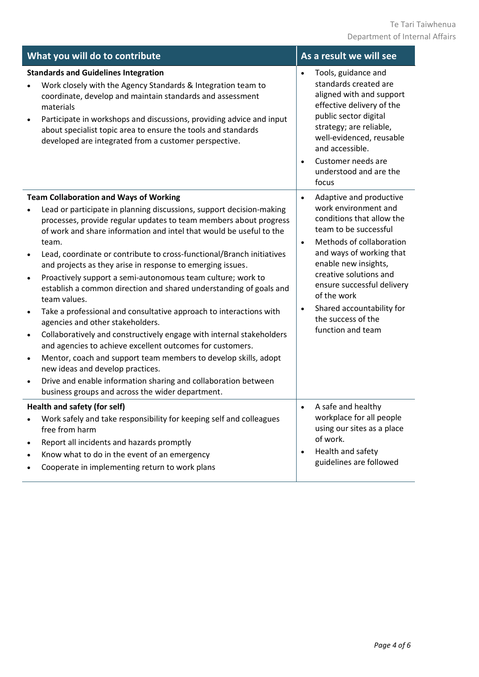| What you will do to contribute                                                                                                                                                                                                                                                                                                                                                                                                                                                                                                                                                                                                                                                                                                                                                                                                                                                                                                                                                                                                                                                                                      | As a result we will see                                                                                                                                                                                                                                                                                                                                                     |  |  |  |
|---------------------------------------------------------------------------------------------------------------------------------------------------------------------------------------------------------------------------------------------------------------------------------------------------------------------------------------------------------------------------------------------------------------------------------------------------------------------------------------------------------------------------------------------------------------------------------------------------------------------------------------------------------------------------------------------------------------------------------------------------------------------------------------------------------------------------------------------------------------------------------------------------------------------------------------------------------------------------------------------------------------------------------------------------------------------------------------------------------------------|-----------------------------------------------------------------------------------------------------------------------------------------------------------------------------------------------------------------------------------------------------------------------------------------------------------------------------------------------------------------------------|--|--|--|
| <b>Standards and Guidelines Integration</b><br>Work closely with the Agency Standards & Integration team to<br>coordinate, develop and maintain standards and assessment<br>materials<br>Participate in workshops and discussions, providing advice and input<br>about specialist topic area to ensure the tools and standards<br>developed are integrated from a customer perspective.                                                                                                                                                                                                                                                                                                                                                                                                                                                                                                                                                                                                                                                                                                                             | Tools, guidance and<br>$\bullet$<br>standards created are<br>aligned with and support<br>effective delivery of the<br>public sector digital<br>strategy; are reliable,<br>well-evidenced, reusable<br>and accessible.<br>Customer needs are<br>$\bullet$<br>understood and are the<br>focus                                                                                 |  |  |  |
| <b>Team Collaboration and Ways of Working</b><br>Lead or participate in planning discussions, support decision-making<br>processes, provide regular updates to team members about progress<br>of work and share information and intel that would be useful to the<br>team.<br>Lead, coordinate or contribute to cross-functional/Branch initiatives<br>and projects as they arise in response to emerging issues.<br>Proactively support a semi-autonomous team culture; work to<br>$\bullet$<br>establish a common direction and shared understanding of goals and<br>team values.<br>Take a professional and consultative approach to interactions with<br>$\bullet$<br>agencies and other stakeholders.<br>Collaboratively and constructively engage with internal stakeholders<br>$\bullet$<br>and agencies to achieve excellent outcomes for customers.<br>Mentor, coach and support team members to develop skills, adopt<br>$\bullet$<br>new ideas and develop practices.<br>Drive and enable information sharing and collaboration between<br>$\bullet$<br>business groups and across the wider department. | Adaptive and productive<br>$\bullet$<br>work environment and<br>conditions that allow the<br>team to be successful<br>Methods of collaboration<br>$\bullet$<br>and ways of working that<br>enable new insights,<br>creative solutions and<br>ensure successful delivery<br>of the work<br>Shared accountability for<br>$\bullet$<br>the success of the<br>function and team |  |  |  |
| Health and safety (for self)<br>Work safely and take responsibility for keeping self and colleagues<br>free from harm<br>Report all incidents and hazards promptly<br>Know what to do in the event of an emergency<br>Cooperate in implementing return to work plans                                                                                                                                                                                                                                                                                                                                                                                                                                                                                                                                                                                                                                                                                                                                                                                                                                                | A safe and healthy<br>workplace for all people<br>using our sites as a place<br>of work.<br>Health and safety<br>$\bullet$<br>guidelines are followed                                                                                                                                                                                                                       |  |  |  |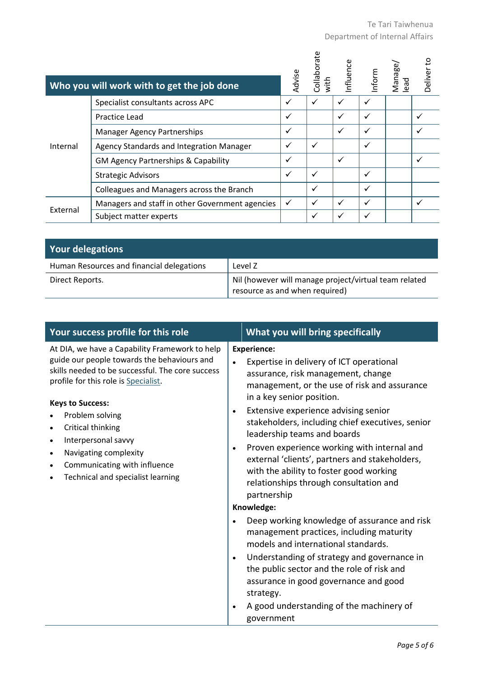|          | Who you will work with to get the job done      | Advise       | Collaborate<br>with | nfluence | Inform | Manage/<br>lead | Deliver to |
|----------|-------------------------------------------------|--------------|---------------------|----------|--------|-----------------|------------|
|          | Specialist consultants across APC               | ✓            |                     |          |        |                 |            |
|          | Practice Lead                                   | ✓            |                     | ✓        | ✓      |                 |            |
|          | <b>Manager Agency Partnerships</b>              | ✓            |                     | ✓        |        |                 |            |
| Internal | Agency Standards and Integration Manager        | ✓            | ✓                   |          |        |                 |            |
|          | <b>GM Agency Partnerships &amp; Capability</b>  | ✓            |                     | ✓        |        |                 |            |
|          | <b>Strategic Advisors</b>                       | $\checkmark$ | ✓                   |          | ✓      |                 |            |
|          | Colleagues and Managers across the Branch       |              | ✓                   |          |        |                 |            |
| External | Managers and staff in other Government agencies | $\checkmark$ | ✓                   | ✓        | ✓      |                 |            |
|          | Subject matter experts                          |              |                     |          |        |                 |            |

| <b>Your delegations</b>                   |                                                                                         |
|-------------------------------------------|-----------------------------------------------------------------------------------------|
| Human Resources and financial delegations | Level Z                                                                                 |
| Direct Reports.                           | Nil (however will manage project/virtual team related<br>resource as and when required) |

| Your success profile for this role                                                                                                                                                                                                                                                                                                                                                                                       | What you will bring specifically                                                                                                                                                                                                                                                                                                                                                                                                                                                                                                                                                                                                                                                                                                                                                                                                                                                                                                                 |
|--------------------------------------------------------------------------------------------------------------------------------------------------------------------------------------------------------------------------------------------------------------------------------------------------------------------------------------------------------------------------------------------------------------------------|--------------------------------------------------------------------------------------------------------------------------------------------------------------------------------------------------------------------------------------------------------------------------------------------------------------------------------------------------------------------------------------------------------------------------------------------------------------------------------------------------------------------------------------------------------------------------------------------------------------------------------------------------------------------------------------------------------------------------------------------------------------------------------------------------------------------------------------------------------------------------------------------------------------------------------------------------|
| At DIA, we have a Capability Framework to help<br>guide our people towards the behaviours and<br>skills needed to be successful. The core success<br>profile for this role is Specialist.<br><b>Keys to Success:</b><br>Problem solving<br>Critical thinking<br>$\bullet$<br>Interpersonal savvy<br>$\bullet$<br>Navigating complexity<br>$\bullet$<br>Communicating with influence<br>Technical and specialist learning | <b>Experience:</b><br>Expertise in delivery of ICT operational<br>$\bullet$<br>assurance, risk management, change<br>management, or the use of risk and assurance<br>in a key senior position.<br>Extensive experience advising senior<br>$\bullet$<br>stakeholders, including chief executives, senior<br>leadership teams and boards<br>Proven experience working with internal and<br>$\bullet$<br>external 'clients', partners and stakeholders,<br>with the ability to foster good working<br>relationships through consultation and<br>partnership<br>Knowledge:<br>Deep working knowledge of assurance and risk<br>$\bullet$<br>management practices, including maturity<br>models and international standards.<br>Understanding of strategy and governance in<br>$\bullet$<br>the public sector and the role of risk and<br>assurance in good governance and good<br>strategy.<br>A good understanding of the machinery of<br>government |